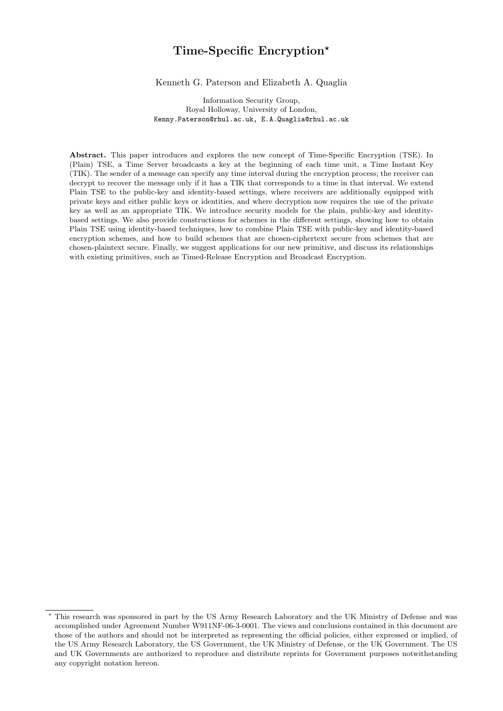# Time-Specific Encryption?

#### Kenneth G. Paterson and Elizabeth A. Quaglia

Information Security Group, Royal Holloway, University of London, Kenny.Paterson@rhul.ac.uk, E.A.Quaglia@rhul.ac.uk

Abstract. This paper introduces and explores the new concept of Time-Specific Encryption (TSE). In (Plain) TSE, a Time Server broadcasts a key at the beginning of each time unit, a Time Instant Key (TIK). The sender of a message can specify any time interval during the encryption process; the receiver can decrypt to recover the message only if it has a TIK that corresponds to a time in that interval. We extend Plain TSE to the public-key and identity-based settings, where receivers are additionally equipped with private keys and either public keys or identities, and where decryption now requires the use of the private key as well as an appropriate TIK. We introduce security models for the plain, public-key and identitybased settings. We also provide constructions for schemes in the different settings, showing how to obtain Plain TSE using identity-based techniques, how to combine Plain TSE with public-key and identity-based encryption schemes, and how to build schemes that are chosen-ciphertext secure from schemes that are chosen-plaintext secure. Finally, we suggest applications for our new primitive, and discuss its relationships with existing primitives, such as Timed-Release Encryption and Broadcast Encryption.

<sup>?</sup> This research was sponsored in part by the US Army Research Laboratory and the UK Ministry of Defense and was accomplished under Agreement Number W911NF-06-3-0001. The views and conclusions contained in this document are those of the authors and should not be interpreted as representing the official policies, either expressed or implied, of the US Army Research Laboratory, the US Government, the UK Ministry of Defense, or the UK Government. The US and UK Governments are authorized to reproduce and distribute reprints for Government purposes notwithstanding any copyright notation hereon.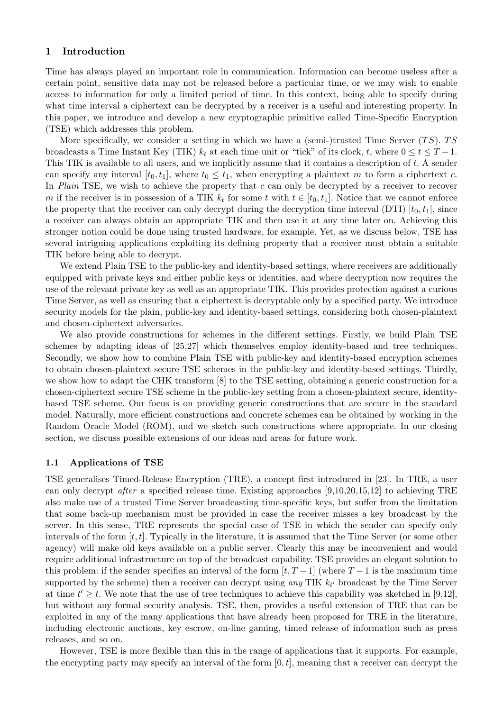#### 1 Introduction

Time has always played an important role in communication. Information can become useless after a certain point, sensitive data may not be released before a particular time, or we may wish to enable access to information for only a limited period of time. In this context, being able to specify during what time interval a ciphertext can be decrypted by a receiver is a useful and interesting property. In this paper, we introduce and develop a new cryptographic primitive called Time-Specific Encryption (TSE) which addresses this problem.

More specifically, we consider a setting in which we have a (semi-)trusted Time Server  $(TS)$ . TS broadcasts a Time Instant Key (TIK)  $k_t$  at each time unit or "tick" of its clock, t, where  $0 \le t \le T-1$ . This TIK is available to all users, and we implicitly assume that it contains a description of  $t$ . A sender can specify any interval  $[t_0, t_1]$ , where  $t_0 \leq t_1$ , when encrypting a plaintext m to form a ciphertext c. In Plain TSE, we wish to achieve the property that c can only be decrypted by a receiver to recover m if the receiver is in possession of a TIK  $k_t$  for some t with  $t \in [t_0, t_1]$ . Notice that we cannot enforce the property that the receiver can only decrypt during the decryption time interval (DTI)  $[t_0, t_1]$ , since a receiver can always obtain an appropriate TIK and then use it at any time later on. Achieving this stronger notion could be done using trusted hardware, for example. Yet, as we discuss below, TSE has several intriguing applications exploiting its defining property that a receiver must obtain a suitable TIK before being able to decrypt.

We extend Plain TSE to the public-key and identity-based settings, where receivers are additionally equipped with private keys and either public keys or identities, and where decryption now requires the use of the relevant private key as well as an appropriate TIK. This provides protection against a curious Time Server, as well as ensuring that a ciphertext is decryptable only by a specified party. We introduce security models for the plain, public-key and identity-based settings, considering both chosen-plaintext and chosen-ciphertext adversaries.

We also provide constructions for schemes in the different settings. Firstly, we build Plain TSE schemes by adapting ideas of [25,27] which themselves employ identity-based and tree techniques. Secondly, we show how to combine Plain TSE with public-key and identity-based encryption schemes to obtain chosen-plaintext secure TSE schemes in the public-key and identity-based settings. Thirdly, we show how to adapt the CHK transform [8] to the TSE setting, obtaining a generic construction for a chosen-ciphertext secure TSE scheme in the public-key setting from a chosen-plaintext secure, identitybased TSE scheme. Our focus is on providing generic constructions that are secure in the standard model. Naturally, more efficient constructions and concrete schemes can be obtained by working in the Random Oracle Model (ROM), and we sketch such constructions where appropriate. In our closing section, we discuss possible extensions of our ideas and areas for future work.

#### 1.1 Applications of TSE

TSE generalises Timed-Release Encryption (TRE), a concept first introduced in [23]. In TRE, a user can only decrypt after a specified release time. Existing approaches [9,10,20,15,12] to achieving TRE also make use of a trusted Time Server broadcasting time-specific keys, but suffer from the limitation that some back-up mechanism must be provided in case the receiver misses a key broadcast by the server. In this sense, TRE represents the special case of TSE in which the sender can specify only intervals of the form  $[t, t]$ . Typically in the literature, it is assumed that the Time Server (or some other agency) will make old keys available on a public server. Clearly this may be inconvenient and would require additional infrastructure on top of the broadcast capability. TSE provides an elegant solution to this problem: if the sender specifies an interval of the form  $[t, T-1]$  (where  $T-1$  is the maximum time supported by the scheme) then a receiver can decrypt using any TIK  $k_{t'}$  broadcast by the Time Server at time  $t' \geq t$ . We note that the use of tree techniques to achieve this capability was sketched in [9,12], but without any formal security analysis. TSE, then, provides a useful extension of TRE that can be exploited in any of the many applications that have already been proposed for TRE in the literature, including electronic auctions, key escrow, on-line gaming, timed release of information such as press releases, and so on.

However, TSE is more flexible than this in the range of applications that it supports. For example, the encrypting party may specify an interval of the form  $[0, t]$ , meaning that a receiver can decrypt the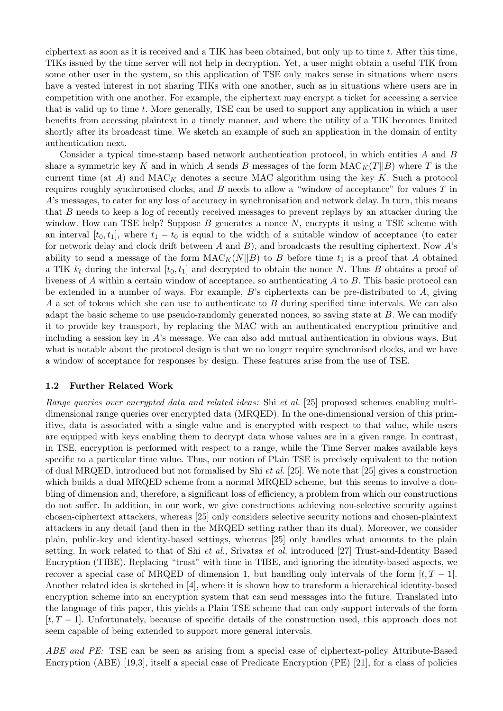ciphertext as soon as it is received and a TIK has been obtained, but only up to time  $t$ . After this time, TIKs issued by the time server will not help in decryption. Yet, a user might obtain a useful TIK from some other user in the system, so this application of TSE only makes sense in situations where users have a vested interest in not sharing TIKs with one another, such as in situations where users are in competition with one another. For example, the ciphertext may encrypt a ticket for accessing a service that is valid up to time t. More generally, TSE can be used to support any application in which a user benefits from accessing plaintext in a timely manner, and where the utility of a TIK becomes limited shortly after its broadcast time. We sketch an example of such an application in the domain of entity authentication next.

Consider a typical time-stamp based network authentication protocol, in which entities A and B share a symmetric key K and in which A sends B messages of the form  $MAC_K(T||B)$  where T is the current time (at  $A$ ) and  $MAC_K$  denotes a secure MAC algorithm using the key  $K$ . Such a protocol requires roughly synchronised clocks, and  $B$  needs to allow a "window of acceptance" for values  $T$  in A's messages, to cater for any loss of accuracy in synchronisation and network delay. In turn, this means that B needs to keep a log of recently received messages to prevent replays by an attacker during the window. How can TSE help? Suppose  $B$  generates a nonce  $N$ , encrypts it using a TSE scheme with an interval  $[t_0, t_1]$ , where  $t_1 - t_0$  is equal to the width of a suitable window of acceptance (to cater for network delay and clock drift between  $A$  and  $B$ ), and broadcasts the resulting ciphertext. Now  $A$ 's ability to send a message of the form  $MAC_K(N||B)$  to B before time  $t_1$  is a proof that A obtained a TIK  $k_t$  during the interval  $[t_0, t_1]$  and decrypted to obtain the nonce N. Thus B obtains a proof of liveness of A within a certain window of acceptance, so authenticating A to B. This basic protocol can be extended in a number of ways. For example,  $B$ 's ciphertexts can be pre-distributed to  $A$ , giving A a set of tokens which she can use to authenticate to B during specified time intervals. We can also adapt the basic scheme to use pseudo-randomly generated nonces, so saving state at  $B$ . We can modify it to provide key transport, by replacing the MAC with an authenticated encryption primitive and including a session key in  $A$ 's message. We can also add mutual authentication in obvious ways. But what is notable about the protocol design is that we no longer require synchronised clocks, and we have a window of acceptance for responses by design. These features arise from the use of TSE.

#### 1.2 Further Related Work

Range queries over encrypted data and related ideas: Shi et al. [25] proposed schemes enabling multidimensional range queries over encrypted data (MRQED). In the one-dimensional version of this primitive, data is associated with a single value and is encrypted with respect to that value, while users are equipped with keys enabling them to decrypt data whose values are in a given range. In contrast, in TSE, encryption is performed with respect to a range, while the Time Server makes available keys specific to a particular time value. Thus, our notion of Plain TSE is precisely equivalent to the notion of dual MRQED, introduced but not formalised by Shi *et al.* [25]. We note that [25] gives a construction which builds a dual MRQED scheme from a normal MRQED scheme, but this seems to involve a doubling of dimension and, therefore, a significant loss of efficiency, a problem from which our constructions do not suffer. In addition, in our work, we give constructions achieving non-selective security against chosen-ciphertext attackers, whereas [25] only considers selective security notions and chosen-plaintext attackers in any detail (and then in the MRQED setting rather than its dual). Moreover, we consider plain, public-key and identity-based settings, whereas [25] only handles what amounts to the plain setting. In work related to that of Shi et al., Srivatsa et al. introduced [27] Trust-and-Identity Based Encryption (TIBE). Replacing "trust" with time in TIBE, and ignoring the identity-based aspects, we recover a special case of MRQED of dimension 1, but handling only intervals of the form  $[t, T - 1]$ . Another related idea is sketched in [4], where it is shown how to transform a hierarchical identity-based encryption scheme into an encryption system that can send messages into the future. Translated into the language of this paper, this yields a Plain TSE scheme that can only support intervals of the form  $[t, T - 1]$ . Unfortunately, because of specific details of the construction used, this approach does not seem capable of being extended to support more general intervals.

ABE and PE: TSE can be seen as arising from a special case of ciphertext-policy Attribute-Based Encryption (ABE) [19,3], itself a special case of Predicate Encryption (PE) [21], for a class of policies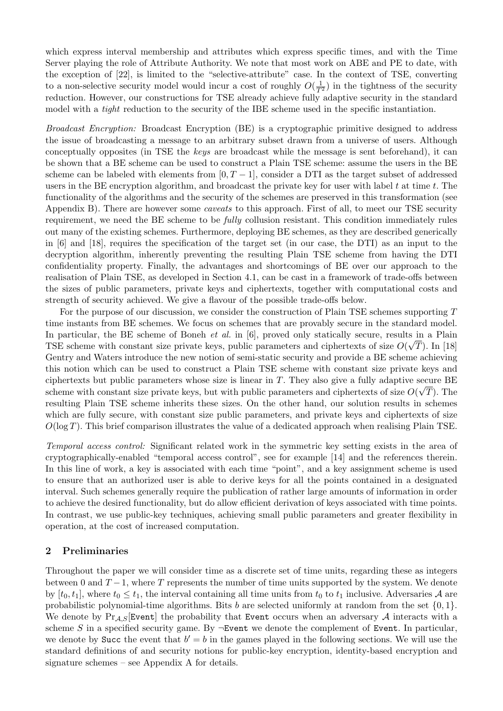which express interval membership and attributes which express specific times, and with the Time Server playing the role of Attribute Authority. We note that most work on ABE and PE to date, with the exception of [22], is limited to the "selective-attribute" case. In the context of TSE, converting to a non-selective security model would incur a cost of roughly  $O(\frac{1}{T^2})$  in the tightness of the security reduction. However, our constructions for TSE already achieve fully adaptive security in the standard model with a *tight* reduction to the security of the IBE scheme used in the specific instantiation.

Broadcast Encryption: Broadcast Encryption (BE) is a cryptographic primitive designed to address the issue of broadcasting a message to an arbitrary subset drawn from a universe of users. Although conceptually opposites (in TSE the keys are broadcast while the message is sent beforehand), it can be shown that a BE scheme can be used to construct a Plain TSE scheme: assume the users in the BE scheme can be labeled with elements from  $[0, T - 1]$ , consider a DTI as the target subset of addressed users in the BE encryption algorithm, and broadcast the private key for user with label  $t$  at time  $t$ . The functionality of the algorithms and the security of the schemes are preserved in this transformation (see Appendix B). There are however some *caveats* to this approach. First of all, to meet our TSE security requirement, we need the BE scheme to be fully collusion resistant. This condition immediately rules out many of the existing schemes. Furthermore, deploying BE schemes, as they are described generically in [6] and [18], requires the specification of the target set (in our case, the DTI) as an input to the decryption algorithm, inherently preventing the resulting Plain TSE scheme from having the DTI confidentiality property. Finally, the advantages and shortcomings of BE over our approach to the realisation of Plain TSE, as developed in Section 4.1, can be cast in a framework of trade-offs between the sizes of public parameters, private keys and ciphertexts, together with computational costs and strength of security achieved. We give a flavour of the possible trade-offs below.

For the purpose of our discussion, we consider the construction of Plain TSE schemes supporting T time instants from BE schemes. We focus on schemes that are provably secure in the standard model. In particular, the BE scheme of Boneh *et al.* in [6], proved only statically secure, results in a Plain TSE scheme with constant size private keys, public parameters and ciphertexts of size  $O(\sqrt{T})$ . In [18] Gentry and Waters introduce the new notion of semi-static security and provide a BE scheme achieving this notion which can be used to construct a Plain TSE scheme with constant size private keys and ciphertexts but public parameters whose size is linear in T. They also give a fully adaptive secure BE scheme with constant size private keys, but with public parameters and ciphertexts of size  $O(\sqrt{T})$ . The resulting Plain TSE scheme inherits these sizes. On the other hand, our solution results in schemes which are fully secure, with constant size public parameters, and private keys and ciphertexts of size  $O(\log T)$ . This brief comparison illustrates the value of a dedicated approach when realising Plain TSE.

Temporal access control: Significant related work in the symmetric key setting exists in the area of cryptographically-enabled "temporal access control", see for example [14] and the references therein. In this line of work, a key is associated with each time "point", and a key assignment scheme is used to ensure that an authorized user is able to derive keys for all the points contained in a designated interval. Such schemes generally require the publication of rather large amounts of information in order to achieve the desired functionality, but do allow efficient derivation of keys associated with time points. In contrast, we use public-key techniques, achieving small public parameters and greater flexibility in operation, at the cost of increased computation.

## 2 Preliminaries

Throughout the paper we will consider time as a discrete set of time units, regarding these as integers between 0 and  $T-1$ , where T represents the number of time units supported by the system. We denote by  $[t_0, t_1]$ , where  $t_0 \leq t_1$ , the interval containing all time units from  $t_0$  to  $t_1$  inclusive. Adversaries A are probabilistic polynomial-time algorithms. Bits b are selected uniformly at random from the set  $\{0, 1\}$ . We denote by  $Pr_{A,S}$ [Event] the probability that Event occurs when an adversary A interacts with a scheme S in a specified security game. By  $\neg$ Event we denote the complement of Event. In particular, we denote by Succ the event that  $b' = b$  in the games played in the following sections. We will use the standard definitions of and security notions for public-key encryption, identity-based encryption and signature schemes – see Appendix A for details.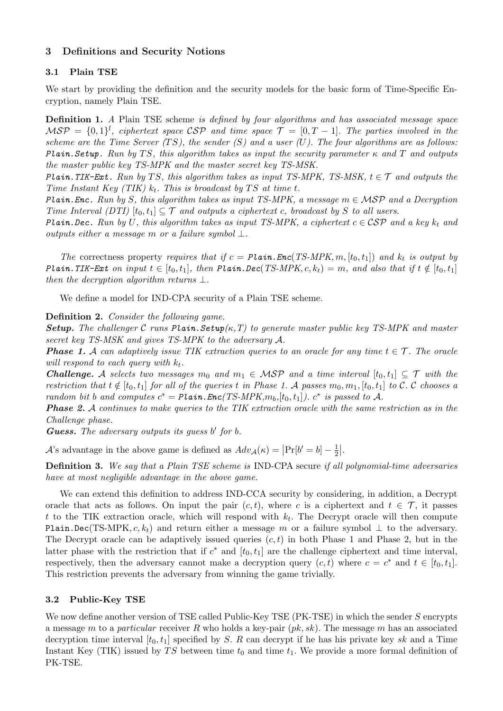# 3 Definitions and Security Notions

#### 3.1 Plain TSE

We start by providing the definition and the security models for the basic form of Time-Specific Encryption, namely Plain TSE.

Definition 1. A Plain TSE scheme is defined by four algorithms and has associated message space  $\mathcal{MSP} = \{0,1\}^l$ , ciphertext space  $\mathcal{CSP}$  and time space  $\mathcal{T} = [0, T-1]$ . The parties involved in the scheme are the Time Server  $(TS)$ , the sender  $(S)$  and a user  $(U)$ . The four algorithms are as follows: Plain. Setup. Run by TS, this algorithm takes as input the security parameter  $\kappa$  and T and outputs the master public key TS-MPK and the master secret key TS-MSK.

Plain. TIK-Ext. Run by TS, this algorithm takes as input TS-MPK, TS-MSK,  $t \in \mathcal{T}$  and outputs the Time Instant Key (TIK)  $k_t$ . This is broadcast by TS at time t.

Plain. Enc. Run by S, this algorithm takes as input TS-MPK, a message  $m \in \mathcal{MSP}$  and a Decryption Time Interval (DTI)  $[t_0, t_1] \subseteq \mathcal{T}$  and outputs a ciphertext c, broadcast by S to all users.

Plain. Dec. Run by U, this algorithm takes as input TS-MPK, a ciphertext  $c \in \mathcal{CSP}$  and a key  $k_t$  and outputs either a message m or a failure symbol  $\bot$ .

The correctness property requires that if  $c = Plain$ . Enc(TS-MPK, m, [t<sub>0</sub>, t<sub>1</sub>]) and  $k_t$  is output by Plain. TIK-Ext on input  $t \in [t_0, t_1]$ , then Plain. Dec(TS-MPK, c,  $k_t$ ) = m, and also that if  $t \notin [t_0, t_1]$ then the decryption algorithm returns  $\perp$ .

We define a model for IND-CPA security of a Plain TSE scheme.

#### Definition 2. Consider the following game.

**Setup.** The challenger C runs Plain. Setup $(\kappa, T)$  to generate master public key TS-MPK and master secret key TS-MSK and gives TS-MPK to the adversary A.

**Phase 1.** A can adaptively issue TIK extraction queries to an oracle for any time  $t \in \mathcal{T}$ . The oracle will respond to each query with  $k_t$ .

**Challenge.** A selects two messages  $m_0$  and  $m_1 \in \mathcal{MSP}$  and a time interval  $[t_0, t_1] \subseteq \mathcal{T}$  with the restriction that  $t \notin [t_0, t_1]$  for all of the queries t in Phase 1. A passes  $m_0, m_1, [t_0, t_1]$  to C. C chooses a random bit b and computes  $c^* = \text{Plain}.\text{Enc}(TS-MPK, m_b, [t_0, t_1])$ .  $c^*$  is passed to A.

**Phase 2.** A continues to make queries to the TIK extraction oracle with the same restriction as in the Challenge phase.

**Guess.** The adversary outputs its guess  $b'$  for  $b$ .

A's advantage in the above game is defined as  $Adv_{\mathcal{A}}(\kappa) = |\Pr[b' = b] - \frac{1}{2}$  $\frac{1}{2}$ .

Definition 3. We say that a Plain TSE scheme is IND-CPA secure if all polynomial-time adversaries have at most negligible advantage in the above game.

We can extend this definition to address IND-CCA security by considering, in addition, a Decrypt oracle that acts as follows. On input the pair  $(c, t)$ , where c is a ciphertext and  $t \in \mathcal{T}$ , it passes t to the TIK extraction oracle, which will respond with  $k_t$ . The Decrypt oracle will then compute Plain.Dec(TS-MPK, c, k<sub>t</sub>) and return either a message m or a failure symbol  $\perp$  to the adversary. The Decrypt oracle can be adaptively issued queries  $(c, t)$  in both Phase 1 and Phase 2, but in the latter phase with the restriction that if  $c^*$  and  $[t_0, t_1]$  are the challenge ciphertext and time interval, respectively, then the adversary cannot make a decryption query  $(c, t)$  where  $c = c^*$  and  $t \in [t_0, t_1]$ . This restriction prevents the adversary from winning the game trivially.

#### 3.2 Public-Key TSE

We now define another version of TSE called Public-Key TSE (PK-TSE) in which the sender S encrypts a message m to a *particular* receiver R who holds a key-pair  $(pk, sk)$ . The message m has an associated decryption time interval  $[t_0, t_1]$  specified by S. R can decrypt if he has his private key sk and a Time Instant Key (TIK) issued by TS between time  $t_0$  and time  $t_1$ . We provide a more formal definition of PK-TSE.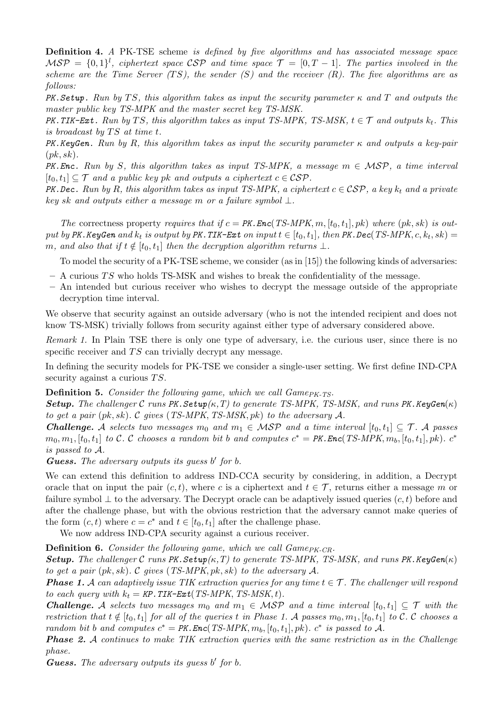Definition 4. A PK-TSE scheme is defined by five algorithms and has associated message space  $\mathcal{MSP} = \{0,1\}^l$ , ciphertext space  $\mathcal{CSP}$  and time space  $\mathcal{T} = [0, T-1]$ . The parties involved in the scheme are the Time Server  $(TS)$ , the sender  $(S)$  and the receiver  $(R)$ . The five algorithms are as follows:

PK. Setup. Run by TS, this algorithm takes as input the security parameter  $\kappa$  and T and outputs the master public key TS-MPK and the master secret key TS-MSK.

PK. TIK-Ext. Run by TS, this algorithm takes as input TS-MPK, TS-MSK,  $t \in \mathcal{T}$  and outputs  $k_t$ . This is broadcast by  $TS$  at time t.

PK.KeyGen. Run by R, this algorithm takes as input the security parameter  $\kappa$  and outputs a key-pair  $(pk, sk)$ .

PK.Enc. Run by S, this algorithm takes as input TS-MPK, a message  $m \in \mathcal{MSP}$ , a time interval  $[t_0, t_1] \subseteq \mathcal{T}$  and a public key pk and outputs a ciphertext  $c \in \mathcal{CSP}$ .

PK. Dec. Run by R, this algorithm takes as input TS-MPK, a ciphertext  $c \in \mathcal{CSP}$ , a key  $k_t$  and a private key sk and outputs either a message m or a failure symbol  $\bot$ .

The correctness property requires that if  $c = PK$ . Enc(TS-MPK, m, [t<sub>0</sub>, t<sub>1</sub>], pk) where (pk, sk) is output by PK.KeyGen and  $k_t$  is output by PK.TIK-Ext on input  $t \in [t_0,t_1],$  then PK.Dec(TS-MPK,  $c,k_t,sk)$ ) = m, and also that if  $t \notin [t_0, t_1]$  then the decryption algorithm returns  $\bot$ .

To model the security of a PK-TSE scheme, we consider (as in [15]) the following kinds of adversaries:

- $-$  A curious TS who holds TS-MSK and wishes to break the confidentiality of the message.
- An intended but curious receiver who wishes to decrypt the message outside of the appropriate decryption time interval.

We observe that security against an outside adversary (who is not the intended recipient and does not know TS-MSK) trivially follows from security against either type of adversary considered above.

Remark 1. In Plain TSE there is only one type of adversary, i.e. the curious user, since there is no specific receiver and  $TS$  can trivially decrypt any message.

In defining the security models for PK-TSE we consider a single-user setting. We first define IND-CPA security against a curious  $TS$ .

**Definition 5.** Consider the following game, which we call  $Game_{K-TS}$ .

**Setup.** The challenger C runs PK. Setup( $\kappa$ , T) to generate TS-MPK, TS-MSK, and runs PK. KeyGen( $\kappa$ ) to get a pair  $(pk, sk)$ . C gives (TS-MPK, TS-MSK, pk) to the adversary A.

**Challenge.** A selects two messages  $m_0$  and  $m_1 \in \mathcal{MSP}$  and a time interval  $[t_0, t_1] \subseteq \mathcal{T}$ . A passes  $m_0, m_1, [t_0, t_1]$  to C. C chooses a random bit b and computes  $c^* = PK$ . Enc(TS-MPK,  $m_b, [t_0, t_1], pk$ ).  $c^*$ is passed to A.

**Guess.** The adversary outputs its guess  $b'$  for  $b$ .

We can extend this definition to address IND-CCA security by considering, in addition, a Decrypt oracle that on input the pair  $(c, t)$ , where c is a ciphertext and  $t \in \mathcal{T}$ , returns either a message m or failure symbol  $\perp$  to the adversary. The Decrypt oracle can be adaptively issued queries  $(c, t)$  before and after the challenge phase, but with the obvious restriction that the adversary cannot make queries of the form  $(c, t)$  where  $c = c^*$  and  $t \in [t_0, t_1]$  after the challenge phase.

We now address IND-CPA security against a curious receiver.

**Definition 6.** Consider the following game, which we call  $Game_{PK-CR}$ .

**Setup.** The challenger C runs PK.Setup( $\kappa$ ,T) to generate TS-MPK, TS-MSK, and runs PK.KeyGen( $\kappa$ ) to get a pair  $(pk, sk)$ . C gives  $(TS-MPK, pk, sk)$  to the adversary A.

**Phase 1.** A can adaptively issue TIK extraction queries for any time  $t \in \mathcal{T}$ . The challenger will respond to each query with  $k_t = \text{KP. TIK-Ext}(TS-MPK, TS-MSK, t)$ .

**Challenge.** A selects two messages  $m_0$  and  $m_1 \in \mathcal{MSP}$  and a time interval  $[t_0, t_1] \subseteq \mathcal{T}$  with the restriction that  $t \notin [t_0, t_1]$  for all of the queries t in Phase 1. A passes  $m_0, m_1, [t_0, t_1]$  to C. C chooses a random bit b and computes  $c^* = PK.Fnc(TS-MPK, m_b, [t_0, t_1], pk)$ .  $c^*$  is passed to A.

**Phase 2.** A continues to make TIK extraction queries with the same restriction as in the Challenge phase.

Guess. The adversary outputs its guess  $b'$  for  $b$ .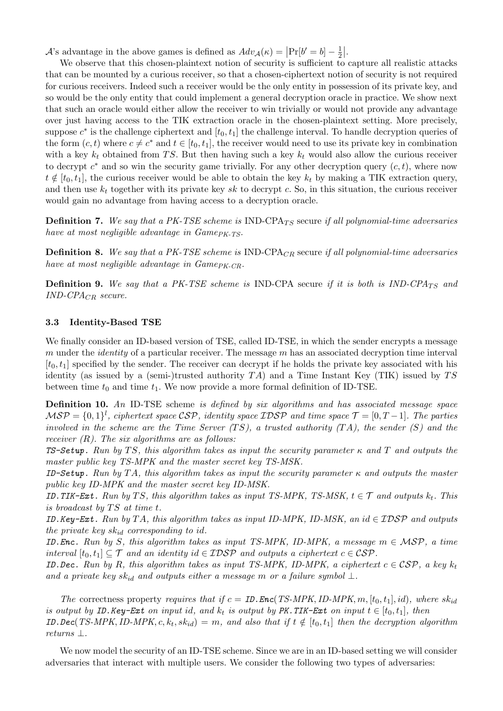A's advantage in the above games is defined as  $Adv_{\mathcal{A}}(\kappa) = |\Pr[b' = b] - \frac{1}{2}$  $\frac{1}{2}$ .

We observe that this chosen-plaintext notion of security is sufficient to capture all realistic attacks that can be mounted by a curious receiver, so that a chosen-ciphertext notion of security is not required for curious receivers. Indeed such a receiver would be the only entity in possession of its private key, and so would be the only entity that could implement a general decryption oracle in practice. We show next that such an oracle would either allow the receiver to win trivially or would not provide any advantage over just having access to the TIK extraction oracle in the chosen-plaintext setting. More precisely, suppose  $c^*$  is the challenge ciphertext and  $[t_0, t_1]$  the challenge interval. To handle decryption queries of the form  $(c, t)$  where  $c \neq c^*$  and  $t \in [t_0, t_1]$ , the receiver would need to use its private key in combination with a key  $k_t$  obtained from TS. But then having such a key  $k_t$  would also allow the curious receiver to decrypt  $c^*$  and so win the security game trivially. For any other decryption query  $(c, t)$ , where now  $t \notin [t_0, t_1]$ , the curious receiver would be able to obtain the key  $k_t$  by making a TIK extraction query, and then use  $k_t$  together with its private key sk to decrypt c. So, in this situation, the curious receiver would gain no advantage from having access to a decryption oracle.

**Definition 7.** We say that a PK-TSE scheme is  $IND-CPA_{TS}$  secure if all polynomial-time adversaries have at most negligible advantage in  $Game_{PK-TS}$ .

**Definition 8.** We say that a PK-TSE scheme is  $IND-CPA_{CR}$  secure if all polynomial-time adversaries have at most negligible advantage in  $Game_{PK-CR}$ .

**Definition 9.** We say that a PK-TSE scheme is IND-CPA secure if it is both is IND-CPA<sub>TS</sub> and  $IND-CPA_{CR}$  secure.

#### 3.3 Identity-Based TSE

We finally consider an ID-based version of TSE, called ID-TSE, in which the sender encrypts a message m under the *identity* of a particular receiver. The message  $m$  has an associated decryption time interval  $[t_0, t_1]$  specified by the sender. The receiver can decrypt if he holds the private key associated with his identity (as issued by a (semi-)trusted authority  $TA$ ) and a Time Instant Key (TIK) issued by  $TS$ between time  $t_0$  and time  $t_1$ . We now provide a more formal definition of ID-TSE.

Definition 10. An ID-TSE scheme is defined by six algorithms and has associated message space  $\mathcal{MSP} = \{0, 1\}^l$ , ciphertext space CSP, identity space IDSP and time space  $\mathcal{T} = [0, T - 1]$ . The parties involved in the scheme are the Time Server  $(TS)$ , a trusted authority  $(TA)$ , the sender  $(S)$  and the receiver  $(R)$ . The six algorithms are as follows:

TS-Setup. Run by TS, this algorithm takes as input the security parameter  $\kappa$  and T and outputs the master public key TS-MPK and the master secret key TS-MSK.

ID-Setup. Run by TA, this algorithm takes as input the security parameter  $\kappa$  and outputs the master public key ID-MPK and the master secret key ID-MSK.

ID. TIK-Ext. Run by TS, this algorithm takes as input TS-MPK, TS-MSK,  $t \in \mathcal{T}$  and outputs  $k_t$ . This is broadcast by  $TS$  at time t.

ID. Key-Ext. Run by TA, this algorithm takes as input ID-MPK, ID-MSK, an id  $\in \mathcal{IDSP}$  and outputs the private key  $sk_{id}$  corresponding to id.

ID.Enc. Run by S, this algorithm takes as input TS-MPK, ID-MPK, a message  $m \in \mathcal{MSP}$ , a time interval  $[t_0, t_1] \subseteq \mathcal{T}$  and an identity id  $\in \mathcal{IDSP}$  and outputs a ciphertext  $c \in \mathcal{CSP}$ .

ID. Dec. Run by R, this algorithm takes as input TS-MPK, ID-MPK, a ciphertext  $c \in \mathcal{CSP}$ , a key  $k_t$ and a private key sk<sub>id</sub> and outputs either a message m or a failure symbol  $\bot$ .

The correctness property requires that if  $c = ID$ . Enc(TS-MPK, ID-MPK, m, [t<sub>0</sub>, t<sub>1</sub>], id), where sk<sub>id</sub> is output by ID. Key-Ext on input id, and  $k_t$  is output by PK. TIK-Ext on input  $t \in [t_0, t_1]$ , then **ID.** Dec(TS-MPK, ID-MPK,  $c, k_t, sk_{id}$ ) = m, and also that if  $t \notin [t_0, t_1]$  then the decryption algorithm returns ⊥.

We now model the security of an ID-TSE scheme. Since we are in an ID-based setting we will consider adversaries that interact with multiple users. We consider the following two types of adversaries: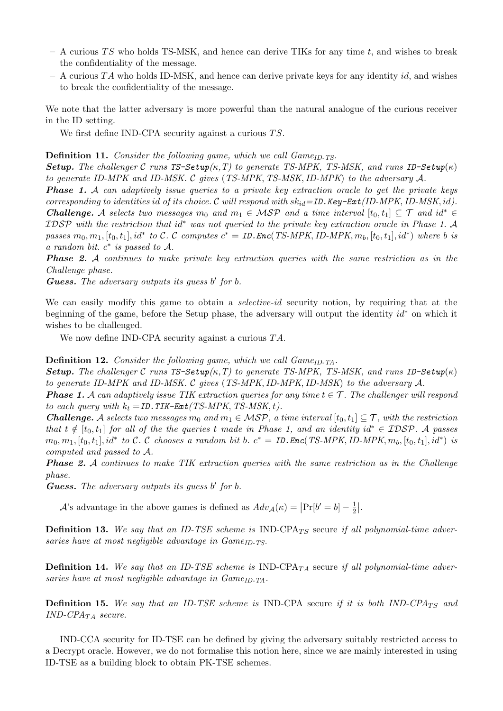- $-$  A curious TS who holds TS-MSK, and hence can derive TIKs for any time t, and wishes to break the confidentiality of the message.
- $-$  A curious TA who holds ID-MSK, and hence can derive private keys for any identity id, and wishes to break the confidentiality of the message.

We note that the latter adversary is more powerful than the natural analogue of the curious receiver in the ID setting.

We first define IND-CPA security against a curious  $TS$ .

**Definition 11.** Consider the following game, which we call  $Game_{ID-TS}$ .

**Setup.** The challenger C runs  $TS-Setup(\kappa,T)$  to generate TS-MPK, TS-MSK, and runs ID-Setup $(\kappa)$ to generate ID-MPK and ID-MSK. C gives (TS-MPK, TS-MSK,ID-MPK) to the adversary A.

**Phase 1.** A can adaptively issue queries to a private key extraction oracle to get the private keys corresponding to identities id of its choice. C will respond with  $sk_{id}=ID$ . Key-Ext(ID-MPK, ID-MSK, id). **Challenge.** A selects two messages  $m_0$  and  $m_1 \in \mathcal{MSP}$  and a time interval  $[t_0, t_1] \subseteq \mathcal{T}$  and  $id^* \in$ IDSP with the restriction that id<sup>∗</sup> was not queried to the private key extraction oracle in Phase 1. A passes  $m_0, m_1, [t_0, t_1], id^*$  to C. C computes  $c^* = ID$ . Enc(TS-MPK, ID-MPK,  $m_b, [t_0, t_1], id^*)$  where b is a random bit.  $c^*$  is passed to  $A$ .

**Phase 2.** A continues to make private key extraction queries with the same restriction as in the Challenge phase.

**Guess.** The adversary outputs its guess  $b'$  for  $b$ .

We can easily modify this game to obtain a *selective-id* security notion, by requiring that at the beginning of the game, before the Setup phase, the adversary will output the identity id<sup>∗</sup> on which it wishes to be challenged.

We now define IND-CPA security against a curious  $TA$ .

**Definition 12.** Consider the following game, which we call  $Game_{ID-TA}$ .

**Setup.** The challenger C runs  $TS-Setup(\kappa,T)$  to generate TS-MPK, TS-MSK, and runs ID-Setup $(\kappa)$ to generate ID-MPK and ID-MSK.  $\mathcal{C}$  gives (TS-MPK, ID-MPK, ID-MSK) to the adversary  $\mathcal{A}$ .

**Phase 1.** A can adaptively issue TIK extraction queries for any time  $t \in \mathcal{T}$ . The challenger will respond to each query with  $k_t = ID$ . TIK-Ext(TS-MPK, TS-MSK, t).

**Challenge.** A selects two messages  $m_0$  and  $m_1 \in \mathcal{MSP}$ , a time interval  $[t_0, t_1] \subseteq \mathcal{T}$ , with the restriction that  $t \notin [t_0, t_1]$  for all of the the queries t made in Phase 1, and an identity  $id^* \in \mathcal{IDSP}$ . A passes  $m_0, m_1, [t_0, t_1], id^*$  to C. C chooses a random bit b.  $c^* = ID$ . Enc(TS-MPK, ID-MPK,  $m_b, [t_0, t_1], id^*$ ) is computed and passed to A.

**Phase 2.** A continues to make TIK extraction queries with the same restriction as in the Challenge phase.

**Guess.** The adversary outputs its guess  $b'$  for  $b$ .

A's advantage in the above games is defined as  $Adv_{\mathcal{A}}(\kappa) = \left| \Pr[b' = b] - \frac{1}{2} \right|$  $\frac{1}{2}$ .

**Definition 13.** We say that an ID-TSE scheme is  $IND-CPA_{TS}$  secure if all polynomial-time adversaries have at most negligible advantage in  $Game_{ID-TS}$ .

**Definition 14.** We say that an ID-TSE scheme is  $IND-CPA_{TA}$  secure if all polynomial-time adversaries have at most negligible advantage in  $Game_{ID-TA}$ .

**Definition 15.** We say that an ID-TSE scheme is IND-CPA secure if it is both IND-CPA<sub>TS</sub> and  $IND-CPA_{TA}$  secure.

IND-CCA security for ID-TSE can be defined by giving the adversary suitably restricted access to a Decrypt oracle. However, we do not formalise this notion here, since we are mainly interested in using ID-TSE as a building block to obtain PK-TSE schemes.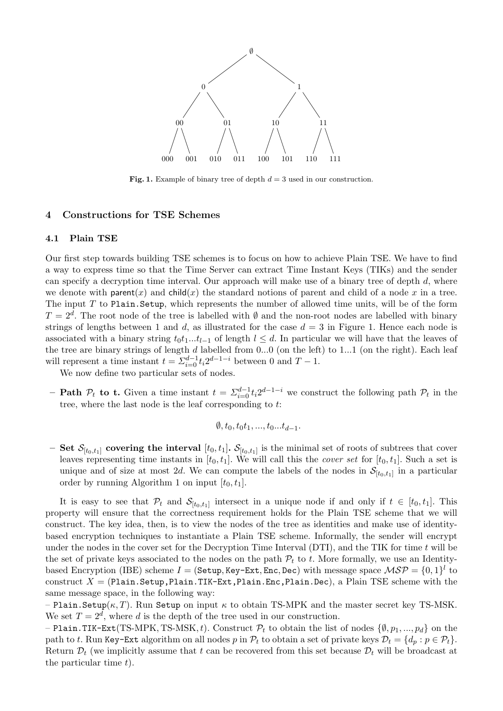

Fig. 1. Example of binary tree of depth  $d = 3$  used in our construction.

#### 4 Constructions for TSE Schemes

#### 4.1 Plain TSE

Our first step towards building TSE schemes is to focus on how to achieve Plain TSE. We have to find a way to express time so that the Time Server can extract Time Instant Keys (TIKs) and the sender can specify a decryption time interval. Our approach will make use of a binary tree of depth  $d$ , where we denote with parent(x) and child(x) the standard notions of parent and child of a node x in a tree. The input  $T$  to Plain. Setup, which represents the number of allowed time units, will be of the form  $T = 2<sup>d</sup>$ . The root node of the tree is labelled with  $\emptyset$  and the non-root nodes are labelled with binary strings of lengths between 1 and d, as illustrated for the case  $d = 3$  in Figure 1. Hence each node is associated with a binary string  $t_0t_1...t_{l-1}$  of length  $l \leq d$ . In particular we will have that the leaves of the tree are binary strings of length d labelled from 0...0 (on the left) to 1...1 (on the right). Each leaf will represent a time instant  $t = \sum_{i=0}^{d-1} t_i 2^{d-1-i}$  between 0 and  $T - 1$ .

We now define two particular sets of nodes.

- **Path**  $\mathcal{P}_t$  to t. Given a time instant  $t = \sum_{i=0}^{d-1} t_i 2^{d-1-i}$  we construct the following path  $\mathcal{P}_t$  in the tree, where the last node is the leaf corresponding to t:

$$
\emptyset, t_0, t_0, t_1, \ldots, t_0 \ldots t_{d-1}.
$$

 $-$  Set  $\mathcal{S}_{[t_0,t_1]}$  covering the interval  $[t_0,t_1]$ .  $\mathcal{S}_{[t_0,t_1]}$  is the minimal set of roots of subtrees that cover leaves representing time instants in  $[t_0, t_1]$ . We will call this the *cover set* for  $[t_0, t_1]$ . Such a set is unique and of size at most 2d. We can compute the labels of the nodes in  $\mathcal{S}_{[t_0,t_1]}$  in a particular order by running Algorithm 1 on input  $[t_0, t_1]$ .

It is easy to see that  $\mathcal{P}_t$  and  $\mathcal{S}_{[t_0,t_1]}$  intersect in a unique node if and only if  $t \in [t_0,t_1]$ . This property will ensure that the correctness requirement holds for the Plain TSE scheme that we will construct. The key idea, then, is to view the nodes of the tree as identities and make use of identitybased encryption techniques to instantiate a Plain TSE scheme. Informally, the sender will encrypt under the nodes in the cover set for the Decryption Time Interval (DTI), and the TIK for time  $t$  will be the set of private keys associated to the nodes on the path  $P_t$  to t. More formally, we use an Identitybased Encryption (IBE) scheme  $I = ($ Setup, Key-Ext, Enc, Dec) with message space  $\mathcal{MSP} = \{0, 1\}^l$  to construct  $X = (Plain.Setup, Plain.TIK-Ext, Plain Enc, Plain Dec)$ , a Plain TSE scheme with the same message space, in the following way:

– Plain. Setup( $\kappa$ , T). Run Setup on input  $\kappa$  to obtain TS-MPK and the master secret key TS-MSK. We set  $T = 2^d$ , where d is the depth of the tree used in our construction.

– Plain.TIK-Ext(TS-MPK, TS-MSK, t). Construct  $\mathcal{P}_t$  to obtain the list of nodes  $\{\emptyset, p_1, ..., p_d\}$  on the path to t. Run Key-Ext algorithm on all nodes p in  $\mathcal{P}_t$  to obtain a set of private keys  $\mathcal{D}_t = \{d_p : p \in \mathcal{P}_t\}.$ Return  $\mathcal{D}_t$  (we implicitly assume that t can be recovered from this set because  $\mathcal{D}_t$  will be broadcast at the particular time  $t$ ).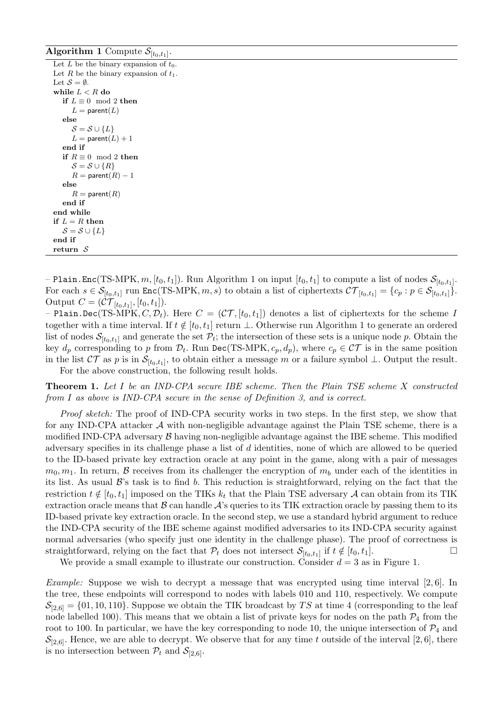Algorithm 1 Compute  $\mathcal{S}_{[t_0,t_1]}$ .

Let L be the binary expansion of  $t_0$ . Let R be the binary expansion of  $t_1$ . Let  $S = \emptyset$ . while  $L < R$  do if  $L \equiv 0 \mod 2$  then  $L =$  parent $(L)$ else  $S = S \cup \{L\}$  $L =$  parent $(L) + 1$ end if if  $R \equiv 0 \mod 2$  then  $S = S \cup \{R\}$  $R =$  parent $(R) - 1$ else  $R =$  parent $(R)$ end if end while if  $L = R$  then  $\mathcal{S} = \mathcal{S} \cup \{L\}$ end if return S

 $-$  Plain.Enc(TS-MPK,  $m,[t_0,t_1])$ . Run Algorithm 1 on input  $[t_0,t_1]$  to compute a list of nodes  $\mathcal{S}_{[t_0,t_1]}$ . For each  $s \in \mathcal{S}_{[t_0,t_1]}$  run  $\text{Enc}(\text{TS-MPK}, m, s)$  to obtain a list of ciphertexts  $\mathcal{CT}_{[t_0,t_1]} = \{c_p : p \in \mathcal{S}_{[t_0,t_1]}\}.$ Output  $C = (C\mathcal{T}_{[t_0,t_1]}, [t_0, t_1]).$ 

– Plain.Dec(TS-MPK,  $C, \mathcal{D}_t$ ). Here  $C = (\mathcal{CT}, [t_0, t_1])$  denotes a list of ciphertexts for the scheme I together with a time interval. If  $t \notin [t_0, t_1]$  return  $\perp$ . Otherwise run Algorithm 1 to generate an ordered list of nodes  $\mathcal{S}_{[t_0,t_1]}$  and generate the set  $\mathcal{P}_t$ ; the intersection of these sets is a unique node p. Obtain the key  $d_p$  corresponding to p from  $\mathcal{D}_t$ . Run Dec(TS-MPK,  $c_p, d_p$ ), where  $c_p \in \mathcal{CT}$  is in the same position in the list  $\mathcal{CT}$  as p is in  $\mathcal{S}_{[t_0,t_1]}$ , to obtain either a message m or a failure symbol  $\perp$ . Output the result.

For the above construction, the following result holds.

Theorem 1. Let I be an IND-CPA secure IBE scheme. Then the Plain TSE scheme X constructed from I as above is IND-CPA secure in the sense of Definition 3, and is correct.

Proof sketch: The proof of IND-CPA security works in two steps. In the first step, we show that for any IND-CPA attacker  $A$  with non-negligible advantage against the Plain TSE scheme, there is a modified IND-CPA adversary  $\beta$  having non-negligible advantage against the IBE scheme. This modified adversary specifies in its challenge phase a list of d identities, none of which are allowed to be queried to the ID-based private key extraction oracle at any point in the game, along with a pair of messages  $m_0, m_1$ . In return, B receives from its challenger the encryption of  $m_b$  under each of the identities in its list. As usual  $\mathcal{B}'$ 's task is to find b. This reduction is straightforward, relying on the fact that the restriction  $t \notin [t_0, t_1]$  imposed on the TIKs  $k_t$  that the Plain TSE adversary A can obtain from its TIK extraction oracle means that  $\beta$  can handle  $\mathcal{A}$ 's queries to its TIK extraction oracle by passing them to its ID-based private key extraction oracle. In the second step, we use a standard hybrid argument to reduce the IND-CPA security of the IBE scheme against modified adversaries to its IND-CPA security against normal adversaries (who specify just one identity in the challenge phase). The proof of correctness is straightforward, relying on the fact that  $\mathcal{P}_t$  does not intersect  $\mathcal{S}_{[t_0,t_1]}$  if  $t \notin [t_0,t_1]$ .

We provide a small example to illustrate our construction. Consider  $d = 3$  as in Figure 1.

Example: Suppose we wish to decrypt a message that was encrypted using time interval [2,6]. In the tree, these endpoints will correspond to nodes with labels 010 and 110, respectively. We compute  $S_{[2,6]} = \{01, 10, 110\}$ . Suppose we obtain the TIK broadcast by TS at time 4 (corresponding to the leaf node labelled 100). This means that we obtain a list of private keys for nodes on the path  $\mathcal{P}_4$  from the root to 100. In particular, we have the key corresponding to node 10, the unique intersection of  $\mathcal{P}_4$  and  $\mathcal{S}_{[2,6]}$ . Hence, we are able to decrypt. We observe that for any time t outside of the interval [2, 6], there is no intersection between  $\mathcal{P}_t$  and  $\mathcal{S}_{[2,6]}$ .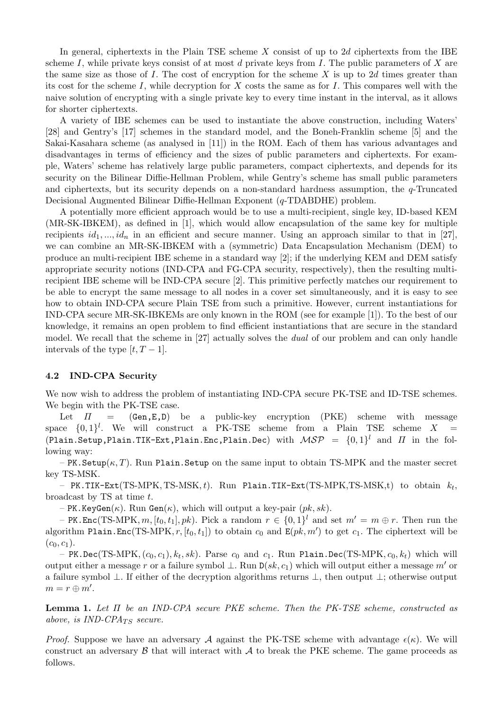In general, ciphertexts in the Plain TSE scheme  $X$  consist of up to 2d ciphertexts from the IBE scheme I, while private keys consist of at most d private keys from I. The public parameters of X are the same size as those of  $I$ . The cost of encryption for the scheme  $X$  is up to  $2d$  times greater than its cost for the scheme I, while decryption for X costs the same as for I. This compares well with the naive solution of encrypting with a single private key to every time instant in the interval, as it allows for shorter ciphertexts.

A variety of IBE schemes can be used to instantiate the above construction, including Waters' [28] and Gentry's [17] schemes in the standard model, and the Boneh-Franklin scheme [5] and the Sakai-Kasahara scheme (as analysed in [11]) in the ROM. Each of them has various advantages and disadvantages in terms of efficiency and the sizes of public parameters and ciphertexts. For example, Waters' scheme has relatively large public parameters, compact ciphertexts, and depends for its security on the Bilinear Diffie-Hellman Problem, while Gentry's scheme has small public parameters and ciphertexts, but its security depends on a non-standard hardness assumption, the  $q$ -Truncated Decisional Augmented Bilinear Diffie-Hellman Exponent (q-TDABDHE) problem.

A potentially more efficient approach would be to use a multi-recipient, single key, ID-based KEM (MR-SK-IBKEM), as defined in [1], which would allow encapsulation of the same key for multiple recipients  $id_1, ..., id_n$  in an efficient and secure manner. Using an approach similar to that in [27], we can combine an MR-SK-IBKEM with a (symmetric) Data Encapsulation Mechanism (DEM) to produce an multi-recipient IBE scheme in a standard way [2]; if the underlying KEM and DEM satisfy appropriate security notions (IND-CPA and FG-CPA security, respectively), then the resulting multirecipient IBE scheme will be IND-CPA secure [2]. This primitive perfectly matches our requirement to be able to encrypt the same message to all nodes in a cover set simultaneously, and it is easy to see how to obtain IND-CPA secure Plain TSE from such a primitive. However, current instantiations for IND-CPA secure MR-SK-IBKEMs are only known in the ROM (see for example [1]). To the best of our knowledge, it remains an open problem to find efficient instantiations that are secure in the standard model. We recall that the scheme in [27] actually solves the dual of our problem and can only handle intervals of the type  $[t, T-1]$ .

#### 4.2 IND-CPA Security

We now wish to address the problem of instantiating IND-CPA secure PK-TSE and ID-TSE schemes. We begin with the PK-TSE case.

Let  $\Pi = (Gen, E, D)$  be a public-key encryption (PKE) scheme with message space  $\{0,1\}^l$ . We will construct a PK-TSE scheme from a Plain TSE scheme  $X =$ (Plain.Setup, Plain.TIK-Ext, Plain.Enc, Plain.Dec) with  $MSP = \{0, 1\}^l$  and  $\Pi$  in the following way:

– PK. Setup( $\kappa$ , T). Run Plain. Setup on the same input to obtain TS-MPK and the master secret key TS-MSK.

- PK.TIK-Ext(TS-MPK,TS-MSK, $t$ ). Run Plain.TIK-Ext(TS-MPK,TS-MSK, $t$ ) to obtain  $k_t$ , broadcast by TS at time t.

– PK. KeyGen $(\kappa)$ . Run Gen $(\kappa)$ , which will output a key-pair  $(pk, sk)$ .

– PK.Enc(TS-MPK,  $m, [t_0, t_1], pk$ ). Pick a random  $r \in \{0, 1\}^l$  and set  $m' = m \oplus r$ . Then run the algorithm Plain.Enc(TS-MPK,  $r, [t_0, t_1]$ ) to obtain  $c_0$  and  $E(pk, m')$  to get  $c_1$ . The ciphertext will be  $(c_0, c_1).$ 

- PK.Dec(TS-MPK, $(c_0, c_1), k_t, sk$ ). Parse  $c_0$  and  $c_1$ . Run Plain.Dec(TS-MPK, $c_0, k_t$ ) which will output either a message r or a failure symbol  $\perp$ . Run  $D(sk, c_1)$  which will output either a message m' or a failure symbol ⊥. If either of the decryption algorithms returns ⊥, then output ⊥; otherwise output  $m = r \oplus m'.$ 

**Lemma 1.** Let  $\Pi$  be an IND-CPA secure PKE scheme. Then the PK-TSE scheme, constructed as above, is IND-CPA<sub>TS</sub> secure.

*Proof.* Suppose we have an adversary A against the PK-TSE scheme with advantage  $\epsilon(\kappa)$ . We will construct an adversary  $\beta$  that will interact with  $\lambda$  to break the PKE scheme. The game proceeds as follows.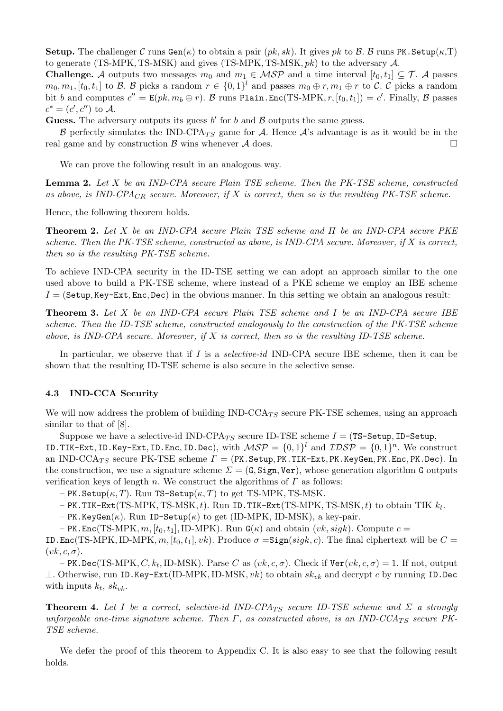**Setup.** The challenger C runs  $Gen(\kappa)$  to obtain a pair  $(pk, sk)$ . It gives pk to B. B runs PK. Setup $(\kappa, T)$ to generate (TS-MPK, TS-MSK) and gives (TS-MPK, TS-MSK,  $pk$ ) to the adversary  $A$ .

**Challenge.** A outputs two messages  $m_0$  and  $m_1 \in \mathcal{MSP}$  and a time interval  $[t_0, t_1] \subseteq \mathcal{T}$ . A passes  $m_0, m_1, [t_0, t_1]$  to B. B picks a random  $r \in \{0, 1\}^l$  and passes  $m_0 \oplus r, m_1 \oplus r$  to C. C picks a random bit b and computes  $c'' = E(pk, m_b \oplus r)$ . B runs Plain.Enc(TS-MPK,  $r, [t_0, t_1]$ ) = c'. Finally, B passes  $c^* = (c', c'')$  to A.

Guess. The adversary outputs its guess  $b'$  for  $b$  and  $\beta$  outputs the same guess.

B perfectly simulates the IND-CPA<sub>TS</sub> game for A. Hence A's advantage is as it would be in the real game and by construction  $\mathcal B$  wins whenever  $\mathcal A$  does.

We can prove the following result in an analogous way.

Lemma 2. Let X be an IND-CPA secure Plain TSE scheme. Then the PK-TSE scheme, constructed as above, is IND-CPA<sub>CR</sub> secure. Moreover, if X is correct, then so is the resulting PK-TSE scheme.

Hence, the following theorem holds.

Theorem 2. Let X be an IND-CPA secure Plain TSE scheme and Π be an IND-CPA secure PKE scheme. Then the PK-TSE scheme, constructed as above, is IND-CPA secure. Moreover, if X is correct, then so is the resulting PK-TSE scheme.

To achieve IND-CPA security in the ID-TSE setting we can adopt an approach similar to the one used above to build a PK-TSE scheme, where instead of a PKE scheme we employ an IBE scheme  $I = (Setup, Key-Ext, Enc, Dec)$  in the obvious manner. In this setting we obtain an analogous result:

Theorem 3. Let X be an IND-CPA secure Plain TSE scheme and I be an IND-CPA secure IBE scheme. Then the ID-TSE scheme, constructed analogously to the construction of the PK-TSE scheme above, is IND-CPA secure. Moreover, if  $X$  is correct, then so is the resulting ID-TSE scheme.

In particular, we observe that if I is a *selective-id* IND-CPA secure IBE scheme, then it can be shown that the resulting ID-TSE scheme is also secure in the selective sense.

#### 4.3 IND-CCA Security

We will now address the problem of building  $IND-CCA_{TS}$  secure PK-TSE schemes, using an approach similar to that of [8].

Suppose we have a selective-id IND-CPA<sub>TS</sub> secure ID-TSE scheme  $I = (TS-Setup, ID-Setup,$ 

ID.TIK-Ext, ID.Key-Ext, ID.Enc, ID.Dec), with  $MSP = \{0, 1\}^l$  and  $IDSP = \{0, 1\}^n$ . We construct an IND-CCA<sub>TS</sub> secure PK-TSE scheme  $\Gamma = (PK \, \texttt{Setup}, \texttt{PK} \, \texttt{TK-Ext}, \texttt{PK} \, \texttt{KeyGen}, \texttt{PK} \, \texttt{Enc}, \texttt{PK} \, \texttt{Dec}).$  In the construction, we use a signature scheme  $\Sigma = (G, Sign, Ver)$ , whose generation algorithm G outputs verification keys of length n. We construct the algorithms of  $\Gamma$  as follows:

- $-$  PK. Setup $(\kappa, T)$ . Run TS-Setup $(\kappa, T)$  to get TS-MPK, TS-MSK.
- PK.TIK-Ext(TS-MPK,TS-MSK, $t$ ). Run ID.TIK-Ext(TS-MPK,TS-MSK, $t$ ) to obtain TIK  $k_t$ .
- PK.KeyGen( $\kappa$ ). Run ID-Setup( $\kappa$ ) to get (ID-MPK, ID-MSK), a key-pair.
- PK.Enc(TS-MPK,  $m, [t_0, t_1]$ , ID-MPK). Run  $G(\kappa)$  and obtain  $(vk, sigk)$ . Compute  $c =$

ID.Enc(TS-MPK, ID-MPK,  $m, [t_0, t_1], vk$ ). Produce  $\sigma = \text{Sign}(sigk, c)$ . The final ciphertext will be  $C =$  $(vk, c, \sigma)$ .

– PK.Dec(TS-MPK,  $C, k_t, \text{ID-MSK}$ ). Parse  $C$  as  $(vk, c, \sigma)$ . Check if  $\texttt{Ver}(vk, c, \sigma) = 1$ . If not, output ⊥. Otherwise, run ID.Key-Ext(ID-MPK, ID-MSK, vk) to obtain  $sk_{vk}$  and decrypt c by running ID.Dec with inputs  $k_t$ ,  $sk_{vk}$ .

**Theorem 4.** Let I be a correct, selective-id IND-CPA<sub>TS</sub> secure ID-TSE scheme and  $\Sigma$  a strongly unforgeable one-time signature scheme. Then  $\Gamma$ , as constructed above, is an IND-CCA<sub>TS</sub> secure PK-TSE scheme.

We defer the proof of this theorem to Appendix C. It is also easy to see that the following result holds.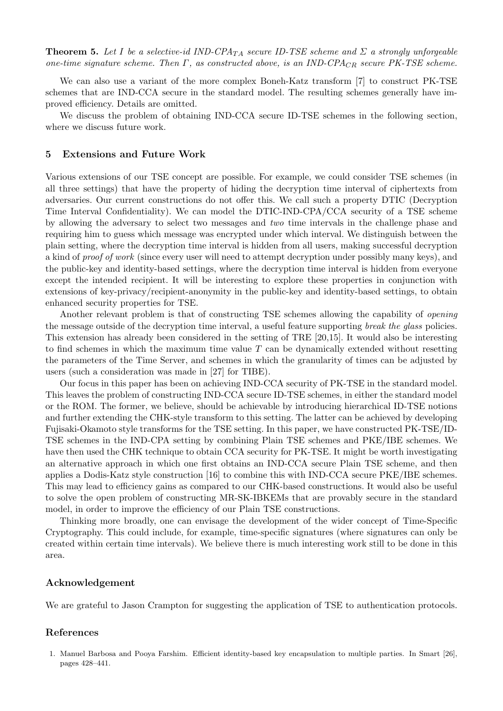**Theorem 5.** Let I be a selective-id IND-CPA<sub>TA</sub> secure ID-TSE scheme and  $\Sigma$  a strongly unforgeable one-time signature scheme. Then  $\Gamma$ , as constructed above, is an IND-CPA<sub>CR</sub> secure PK-TSE scheme.

We can also use a variant of the more complex Boneh-Katz transform [7] to construct PK-TSE schemes that are IND-CCA secure in the standard model. The resulting schemes generally have improved efficiency. Details are omitted.

We discuss the problem of obtaining IND-CCA secure ID-TSE schemes in the following section, where we discuss future work.

#### 5 Extensions and Future Work

Various extensions of our TSE concept are possible. For example, we could consider TSE schemes (in all three settings) that have the property of hiding the decryption time interval of ciphertexts from adversaries. Our current constructions do not offer this. We call such a property DTIC (Decryption Time Interval Confidentiality). We can model the DTIC-IND-CPA/CCA security of a TSE scheme by allowing the adversary to select two messages and two time intervals in the challenge phase and requiring him to guess which message was encrypted under which interval. We distinguish between the plain setting, where the decryption time interval is hidden from all users, making successful decryption a kind of proof of work (since every user will need to attempt decryption under possibly many keys), and the public-key and identity-based settings, where the decryption time interval is hidden from everyone except the intended recipient. It will be interesting to explore these properties in conjunction with extensions of key-privacy/recipient-anonymity in the public-key and identity-based settings, to obtain enhanced security properties for TSE.

Another relevant problem is that of constructing TSE schemes allowing the capability of *opening* the message outside of the decryption time interval, a useful feature supporting break the glass policies. This extension has already been considered in the setting of TRE [20,15]. It would also be interesting to find schemes in which the maximum time value  $T$  can be dynamically extended without resetting the parameters of the Time Server, and schemes in which the granularity of times can be adjusted by users (such a consideration was made in [27] for TIBE).

Our focus in this paper has been on achieving IND-CCA security of PK-TSE in the standard model. This leaves the problem of constructing IND-CCA secure ID-TSE schemes, in either the standard model or the ROM. The former, we believe, should be achievable by introducing hierarchical ID-TSE notions and further extending the CHK-style transform to this setting. The latter can be achieved by developing Fujisaki-Okamoto style transforms for the TSE setting. In this paper, we have constructed PK-TSE/ID-TSE schemes in the IND-CPA setting by combining Plain TSE schemes and PKE/IBE schemes. We have then used the CHK technique to obtain CCA security for PK-TSE. It might be worth investigating an alternative approach in which one first obtains an IND-CCA secure Plain TSE scheme, and then applies a Dodis-Katz style construction [16] to combine this with IND-CCA secure PKE/IBE schemes. This may lead to efficiency gains as compared to our CHK-based constructions. It would also be useful to solve the open problem of constructing MR-SK-IBKEMs that are provably secure in the standard model, in order to improve the efficiency of our Plain TSE constructions.

Thinking more broadly, one can envisage the development of the wider concept of Time-Specific Cryptography. This could include, for example, time-specific signatures (where signatures can only be created within certain time intervals). We believe there is much interesting work still to be done in this area.

#### Acknowledgement

We are grateful to Jason Crampton for suggesting the application of TSE to authentication protocols.

#### References

1. Manuel Barbosa and Pooya Farshim. Efficient identity-based key encapsulation to multiple parties. In Smart [26], pages 428–441.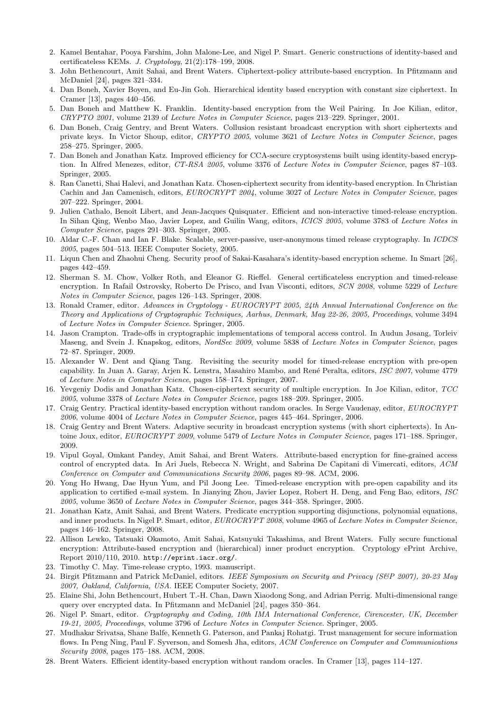- 2. Kamel Bentahar, Pooya Farshim, John Malone-Lee, and Nigel P. Smart. Generic constructions of identity-based and certificateless KEMs. J. Cryptology, 21(2):178–199, 2008.
- 3. John Bethencourt, Amit Sahai, and Brent Waters. Ciphertext-policy attribute-based encryption. In Pfitzmann and McDaniel [24], pages 321–334.
- 4. Dan Boneh, Xavier Boyen, and Eu-Jin Goh. Hierarchical identity based encryption with constant size ciphertext. In Cramer [13], pages 440–456.
- 5. Dan Boneh and Matthew K. Franklin. Identity-based encryption from the Weil Pairing. In Joe Kilian, editor, CRYPTO 2001, volume 2139 of Lecture Notes in Computer Science, pages 213–229. Springer, 2001.
- 6. Dan Boneh, Craig Gentry, and Brent Waters. Collusion resistant broadcast encryption with short ciphertexts and private keys. In Victor Shoup, editor, CRYPTO 2005, volume 3621 of Lecture Notes in Computer Science, pages 258–275. Springer, 2005.
- 7. Dan Boneh and Jonathan Katz. Improved efficiency for CCA-secure cryptosystems built using identity-based encryption. In Alfred Menezes, editor, CT-RSA 2005, volume 3376 of Lecture Notes in Computer Science, pages 87–103. Springer, 2005.
- 8. Ran Canetti, Shai Halevi, and Jonathan Katz. Chosen-ciphertext security from identity-based encryption. In Christian Cachin and Jan Camenisch, editors, EUROCRYPT 2004, volume 3027 of Lecture Notes in Computer Science, pages 207–222. Springer, 2004.
- 9. Julien Cathalo, Benoît Libert, and Jean-Jacques Quisquater. Efficient and non-interactive timed-release encryption. In Sihan Qing, Wenbo Mao, Javier Lopez, and Guilin Wang, editors, ICICS 2005, volume 3783 of Lecture Notes in Computer Science, pages 291–303. Springer, 2005.
- 10. Aldar C.-F. Chan and Ian F. Blake. Scalable, server-passive, user-anonymous timed release cryptography. In ICDCS 2005, pages 504–513. IEEE Computer Society, 2005.
- 11. Liqun Chen and Zhaohui Cheng. Security proof of Sakai-Kasahara's identity-based encryption scheme. In Smart [26], pages 442–459.
- 12. Sherman S. M. Chow, Volker Roth, and Eleanor G. Rieffel. General certificateless encryption and timed-release encryption. In Rafail Ostrovsky, Roberto De Prisco, and Ivan Visconti, editors, SCN 2008, volume 5229 of Lecture Notes in Computer Science, pages 126–143. Springer, 2008.
- 13. Ronald Cramer, editor. Advances in Cryptology EUROCRYPT 2005, 24th Annual International Conference on the Theory and Applications of Cryptographic Techniques, Aarhus, Denmark, May 22-26, 2005, Proceedings, volume 3494 of Lecture Notes in Computer Science. Springer, 2005.
- 14. Jason Crampton. Trade-offs in cryptographic implementations of temporal access control. In Audun Jøsang, Torleiv Maseng, and Svein J. Knapskog, editors, NordSec 2009, volume 5838 of Lecture Notes in Computer Science, pages 72–87. Springer, 2009.
- 15. Alexander W. Dent and Qiang Tang. Revisiting the security model for timed-release encryption with pre-open capability. In Juan A. Garay, Arjen K. Lenstra, Masahiro Mambo, and Ren´e Peralta, editors, ISC 2007, volume 4779 of Lecture Notes in Computer Science, pages 158–174. Springer, 2007.
- 16. Yevgeniy Dodis and Jonathan Katz. Chosen-ciphertext security of multiple encryption. In Joe Kilian, editor, TCC 2005, volume 3378 of Lecture Notes in Computer Science, pages 188–209. Springer, 2005.
- 17. Craig Gentry. Practical identity-based encryption without random oracles. In Serge Vaudenay, editor, EUROCRYPT 2006, volume 4004 of Lecture Notes in Computer Science, pages 445–464. Springer, 2006.
- 18. Craig Gentry and Brent Waters. Adaptive security in broadcast encryption systems (with short ciphertexts). In Antoine Joux, editor, EUROCRYPT 2009, volume 5479 of Lecture Notes in Computer Science, pages 171–188. Springer, 2009.
- 19. Vipul Goyal, Omkant Pandey, Amit Sahai, and Brent Waters. Attribute-based encryption for fine-grained access control of encrypted data. In Ari Juels, Rebecca N. Wright, and Sabrina De Capitani di Vimercati, editors, ACM Conference on Computer and Communications Security 2006, pages 89–98. ACM, 2006.
- 20. Yong Ho Hwang, Dae Hyun Yum, and Pil Joong Lee. Timed-release encryption with pre-open capability and its application to certified e-mail system. In Jianying Zhou, Javier Lopez, Robert H. Deng, and Feng Bao, editors, ISC 2005, volume 3650 of Lecture Notes in Computer Science, pages 344–358. Springer, 2005.
- 21. Jonathan Katz, Amit Sahai, and Brent Waters. Predicate encryption supporting disjunctions, polynomial equations, and inner products. In Nigel P. Smart, editor, EUROCRYPT 2008, volume 4965 of Lecture Notes in Computer Science, pages 146–162. Springer, 2008.
- 22. Allison Lewko, Tatsuaki Okamoto, Amit Sahai, Katsuyuki Takashima, and Brent Waters. Fully secure functional encryption: Attribute-based encryption and (hierarchical) inner product encryption. Cryptology ePrint Archive, Report 2010/110, 2010. http://eprint.iacr.org/.
- 23. Timothy C. May. Time-release crypto, 1993. manuscript.
- 24. Birgit Pfitzmann and Patrick McDaniel, editors. IEEE Symposium on Security and Privacy (S&P 2007), 20-23 May 2007, Oakland, California, USA. IEEE Computer Society, 2007.
- 25. Elaine Shi, John Bethencourt, Hubert T.-H. Chan, Dawn Xiaodong Song, and Adrian Perrig. Multi-dimensional range query over encrypted data. In Pfitzmann and McDaniel [24], pages 350–364.
- 26. Nigel P. Smart, editor. Cryptography and Coding, 10th IMA International Conference, Cirencester, UK, December 19-21, 2005, Proceedings, volume 3796 of Lecture Notes in Computer Science. Springer, 2005.
- 27. Mudhakar Srivatsa, Shane Balfe, Kenneth G. Paterson, and Pankaj Rohatgi. Trust management for secure information flows. In Peng Ning, Paul F. Syverson, and Somesh Jha, editors, ACM Conference on Computer and Communications Security 2008, pages 175–188. ACM, 2008.
- 28. Brent Waters. Efficient identity-based encryption without random oracles. In Cramer [13], pages 114–127.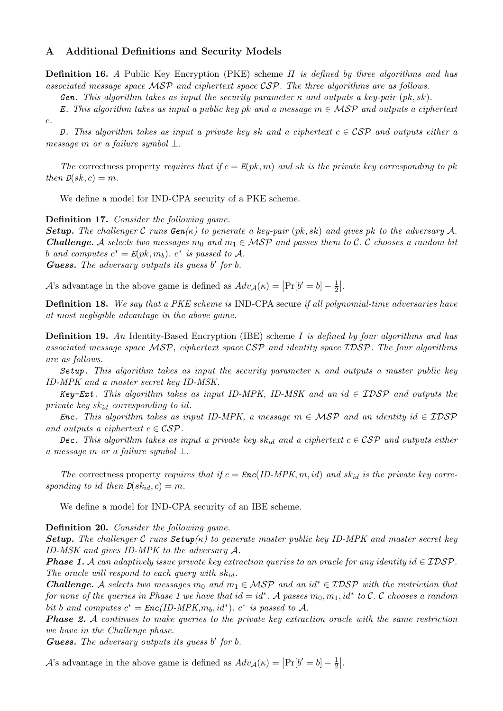# A Additional Definitions and Security Models

**Definition 16.** A Public Key Encryption (PKE) scheme  $\Pi$  is defined by three algorithms and has associated message space MSP and ciphertext space CSP. The three algorithms are as follows.

**Gen.** This algorithm takes as input the security parameter  $\kappa$  and outputs a key-pair (pk, sk).

E. This algorithm takes as input a public key pk and a message  $m \in \mathcal{MSP}$  and outputs a ciphertext c.

D. This algorithm takes as input a private key sk and a ciphertext  $c \in \mathcal{CSP}$  and outputs either a message m or a failure symbol  $\perp$ .

The correctness property requires that if  $c = E(pk, m)$  and sk is the private key corresponding to pk then  $D(sk, c) = m$ .

We define a model for IND-CPA security of a PKE scheme.

Definition 17. Consider the following game.

**Setup.** The challenger C runs  $Gen(\kappa)$  to generate a key-pair  $(pk, sk)$  and gives pk to the adversary A. **Challenge.** A selects two messages  $m_0$  and  $m_1 \in \mathcal{MSP}$  and passes them to C. C chooses a random bit b and computes  $c^* = E(pk, m_b)$ .  $c^*$  is passed to A. Guess. The adversary outputs its guess  $b'$  for  $b$ .

A's advantage in the above game is defined as  $Adv_{\mathcal{A}}(\kappa) = \left| \Pr[b' = b] - \frac{1}{2} \right|$  $\frac{1}{2}$ .

Definition 18. We say that a PKE scheme is IND-CPA secure if all polynomial-time adversaries have at most negligible advantage in the above game.

Definition 19. An Identity-Based Encryption (IBE) scheme I is defined by four algorithms and has associated message space  $\mathcal{MSP}$ , ciphertext space  $\mathcal{CSP}$  and identity space IDSP. The four algorithms are as follows.

Setup. This algorithm takes as input the security parameter  $\kappa$  and outputs a master public key ID-MPK and a master secret key ID-MSK.

Key-Ext. This algorithm takes as input ID-MPK, ID-MSK and an  $id \in \mathcal{IDSP}$  and outputs the private key  $sk_{id}$  corresponding to id.

Enc. This algorithm takes as input ID-MPK, a message  $m \in \mathcal{MSP}$  and an identity id  $\in \mathcal{IDSP}$ and outputs a ciphertext  $c \in \mathcal{CSP}$ .

Dec. This algorithm takes as input a private key sk<sub>id</sub> and a ciphertext  $c \in \mathcal{CSP}$  and outputs either a message m or a failure symbol  $\bot$ .

The correctness property requires that if  $c = Enc(ID-MPK, m, id)$  and  $sk_{id}$  is the private key corresponding to id then  $D(s k_{id}, c) = m$ .

We define a model for IND-CPA security of an IBE scheme.

#### Definition 20. Consider the following game.

**Setup.** The challenger C runs  $Setup(\kappa)$  to generate master public key ID-MPK and master secret key ID-MSK and gives ID-MPK to the adversary A.

**Phase 1.** A can adaptively issue private key extraction queries to an oracle for any identity id  $\in \mathcal{IDSP}$ . The oracle will respond to each query with  $sk_{id}$ .

**Challenge.** A selects two messages  $m_0$  and  $m_1 \in \mathcal{MSP}$  and an id<sup>\*</sup>  $\in \mathcal{IDSP}$  with the restriction that for none of the queries in Phase 1 we have that  $id = id^*$ . A passes  $m_0, m_1, id^*$  to C. C chooses a random bit b and computes  $c^* = \text{Enc}(ID-MPK, m_b, id^*)$ .  $c^*$  is passed to A.

**Phase 2.** A continues to make queries to the private key extraction oracle with the same restriction we have in the Challenge phase.

Guess. The adversary outputs its guess  $b'$  for  $b$ .

A's advantage in the above game is defined as  $Adv_{\mathcal{A}}(\kappa) = |Pr[b' = b] - \frac{1}{2}$  $\frac{1}{2}$ .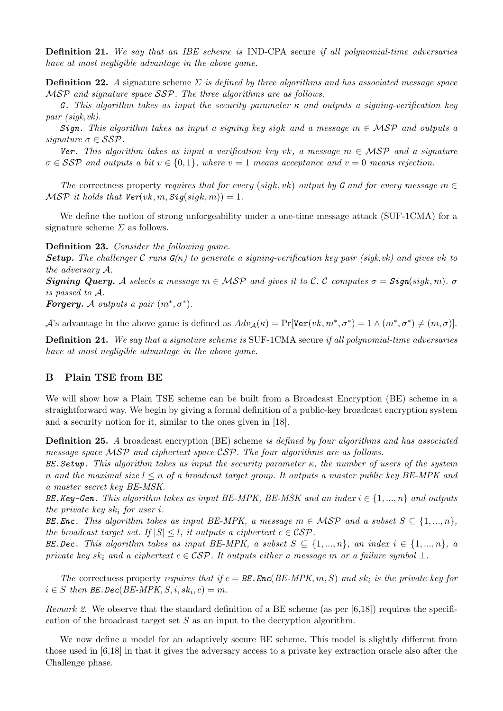Definition 21. We say that an IBE scheme is IND-CPA secure if all polynomial-time adversaries have at most negligible advantage in the above game.

**Definition 22.** A signature scheme  $\Sigma$  is defined by three algorithms and has associated message space MSP and signature space SSP. The three algorithms are as follows.

**G.** This algorithm takes as input the security parameter  $\kappa$  and outputs a signing-verification key pair (sigk,vk).

Sign. This algorithm takes as input a signing key sigk and a message  $m \in \mathcal{MSP}$  and outputs a signature  $\sigma \in \mathcal{SSP}$ .

Ver. This algorithm takes as input a verification key vk, a message  $m \in \mathcal{MSP}$  and a signature  $\sigma \in \mathcal{S} \mathcal{S} \mathcal{P}$  and outputs a bit  $v \in \{0, 1\}$ , where  $v = 1$  means acceptance and  $v = 0$  means rejection.

The correctness property requires that for every (sigk, vk) output by G and for every message  $m \in$  $MSP$  it holds that  $Ver(vk, m, Sig(sigk, m)) = 1$ .

We define the notion of strong unforgeability under a one-time message attack (SUF-1CMA) for a signature scheme  $\Sigma$  as follows.

Definition 23. Consider the following game.

**Setup.** The challenger C runs  $G(\kappa)$  to generate a signing-verification key pair (sigk,vk) and gives vk to the adversary A.

**Signing Query.** A selects a message  $m \in \mathcal{MSP}$  and gives it to C. C computes  $\sigma = \mathcal{S}i\mathfrak{gn}(sigk, m)$ .  $\sigma$ is passed to A.

Forgery. A outputs a pair  $(m^*, \sigma^*)$ .

A's advantage in the above game is defined as  $Adv_{\mathcal{A}}(\kappa) = Pr[Ver(vk, m^*, \sigma^*) = 1 \wedge (m^*, \sigma^*) \neq (m, \sigma)].$ 

Definition 24. We say that a signature scheme is SUF-1CMA secure if all polynomial-time adversaries have at most negligible advantage in the above game.

## B Plain TSE from BE

We will show how a Plain TSE scheme can be built from a Broadcast Encryption (BE) scheme in a straightforward way. We begin by giving a formal definition of a public-key broadcast encryption system and a security notion for it, similar to the ones given in [18].

**Definition 25.** A broadcast encryption (BE) scheme is defined by four algorithms and has associated message space MSP and ciphertext space CSP. The four algorithms are as follows.

**BE. Setup.** This algorithm takes as input the security parameter  $\kappa$ , the number of users of the system n and the maximal size  $l \leq n$  of a broadcast target group. It outputs a master public key BE-MPK and a master secret key BE-MSK.

BE. Key-Gen. This algorithm takes as input BE-MPK, BE-MSK and an index  $i \in \{1, ..., n\}$  and outputs the private key  $sk_i$  for user i.

BE. Enc. This algorithm takes as input BE-MPK, a message  $m \in \mathcal{MSP}$  and a subset  $S \subseteq \{1, ..., n\}$ , the broadcast target set. If  $|S| \leq l$ , it outputs a ciphertext  $c \in \mathcal{CSP}$ .

BE. Dec. This algorithm takes as input BE-MPK, a subset  $S \subseteq \{1, ..., n\}$ , an index  $i \in \{1, ..., n\}$ , a private key sk<sub>i</sub> and a ciphertext c ∈ CSP. It outputs either a message m or a failure symbol  $\perp$ .

The correctness property requires that if  $c = BE$ . Enc(BE-MPK, m, S) and sk<sub>i</sub> is the private key for  $i \in S$  then  $B\!E. Dec(B\!E\text{-}MPK, S, i, sk_i, c) = m$ .

Remark 2. We observe that the standard definition of a BE scheme (as per [6,18]) requires the specification of the broadcast target set S as an input to the decryption algorithm.

We now define a model for an adaptively secure BE scheme. This model is slightly different from those used in [6,18] in that it gives the adversary access to a private key extraction oracle also after the Challenge phase.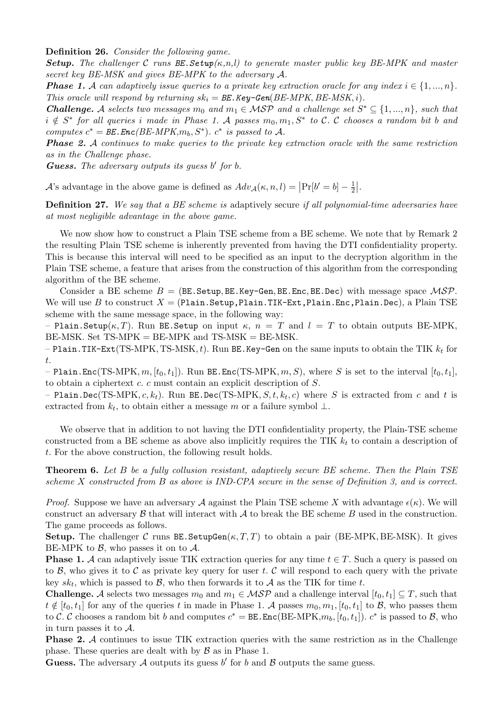Definition 26. Consider the following game.

**Setup.** The challenger C runs BE. Setup $(\kappa, n, l)$  to generate master public key BE-MPK and master secret key BE-MSK and gives BE-MPK to the adversary A.

**Phase 1.** A can adaptively issue queries to a private key extraction oracle for any index  $i \in \{1, ..., n\}$ . This oracle will respond by returning  $sk_i = BE.Key-Gen(BE-MPK, BE-MSK, i)$ .

**Challenge.** A selects two messages  $m_0$  and  $m_1 \in \mathcal{MSP}$  and a challenge set  $S^* \subseteq \{1, ..., n\}$ , such that  $i \notin S^*$  for all queries i made in Phase 1. A passes  $m_0, m_1, S^*$  to C. C chooses a random bit b and computes  $c^* = BE \cdot Enc(BE-MPK, m_b, S^*)$ .  $c^*$  is passed to A.

**Phase 2.** A continues to make queries to the private key extraction oracle with the same restriction as in the Challenge phase.

Guess. The adversary outputs its guess  $b'$  for  $b$ .

A's advantage in the above game is defined as  $Adv_{\mathcal{A}}(\kappa, n, l) = |\Pr[b' = b] - \frac{1}{2}$  $\frac{1}{2}$ .

Definition 27. We say that a BE scheme is adaptively secure if all polynomial-time adversaries have at most negligible advantage in the above game.

We now show how to construct a Plain TSE scheme from a BE scheme. We note that by Remark 2 the resulting Plain TSE scheme is inherently prevented from having the DTI confidentiality property. This is because this interval will need to be specified as an input to the decryption algorithm in the Plain TSE scheme, a feature that arises from the construction of this algorithm from the corresponding algorithm of the BE scheme.

Consider a BE scheme  $B = (BE \text{.Setup. BE.Key-Gen. BE. Enc. BE. Dec})$  with message space  $\mathcal{MSP}$ . We will use B to construct  $X = (Plain.Setup, Plain.TIK-Ext, Plain Enc, Plain Dec), a Plain TSE$ scheme with the same message space, in the following way:

– Plain. Setup( $\kappa$ , T). Run BE. Setup on input  $\kappa$ ,  $n = T$  and  $l = T$  to obtain outputs BE-MPK,  $BE\text{-}MSK$ . Set  $TS\text{-}MPK = BE\text{-}MPK$  and  $TS\text{-}MSK = BE\text{-}MSK$ .

– Plain.TIK-Ext(TS-MPK, TS-MSK, t). Run BE.Key-Gen on the same inputs to obtain the TIK  $k_t$  for t.

– Plain.Enc(TS-MPK,  $m, [t_0, t_1]$ ). Run BE.Enc(TS-MPK,  $m, S$ ), where S is set to the interval  $[t_0, t_1]$ , to obtain a ciphertext c. c must contain an explicit description of S.

- Plain.Dec(TS-MPK, $c,k_t$ ). Run BE.Dec(TS-MPK, $S,t,k_t,c$ ) where  $S$  is extracted from  $c$  and  $t$  is extracted from  $k_t$ , to obtain either a message m or a failure symbol  $\perp$ .

We observe that in addition to not having the DTI confidentiality property, the Plain-TSE scheme constructed from a BE scheme as above also implicitly requires the TIK  $k_t$  to contain a description of t. For the above construction, the following result holds.

Theorem 6. Let B be a fully collusion resistant, adaptively secure BE scheme. Then the Plain TSE scheme X constructed from B as above is IND-CPA secure in the sense of Definition 3, and is correct.

*Proof.* Suppose we have an adversary A against the Plain TSE scheme X with advantage  $\epsilon(\kappa)$ . We will construct an adversary  $\beta$  that will interact with  $\mathcal A$  to break the BE scheme  $B$  used in the construction. The game proceeds as follows.

**Setup.** The challenger C runs BE. SetupGen( $\kappa$ , T, T) to obtain a pair (BE-MPK, BE-MSK). It gives BE-MPK to  $\beta$ , who passes it on to  $\mathcal{A}$ .

**Phase 1.** A can adaptively issue TIK extraction queries for any time  $t \in T$ . Such a query is passed on to  $\mathcal{B}$ , who gives it to  $\mathcal{C}$  as private key query for user t.  $\mathcal{C}$  will respond to each query with the private key  $sk_t$ , which is passed to  $\mathcal{B}$ , who then forwards it to  $\mathcal{A}$  as the TIK for time t.

**Challenge.** A selects two messages  $m_0$  and  $m_1 \in \mathcal{MSP}$  and a challenge interval  $[t_0, t_1] \subseteq T$ , such that  $t \notin [t_0, t_1]$  for any of the queries t in made in Phase 1. A passes  $m_0, m_1, [t_0, t_1]$  to B, who passes them to C. C chooses a random bit b and computes  $c^* = BE$ .  $Enc(BE-MPK, m_b, [t_0, t_1])$ .  $c^*$  is passed to B, who in turn passes it to  $\mathcal{A}$ .

Phase 2. A continues to issue TIK extraction queries with the same restriction as in the Challenge phase. These queries are dealt with by  $\beta$  as in Phase 1.

Guess. The adversary  $A$  outputs its guess  $b'$  for  $b$  and  $B$  outputs the same guess.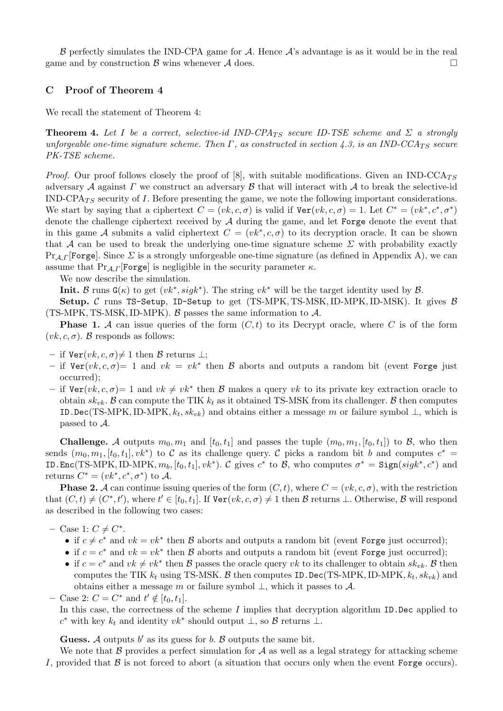B perfectly simulates the IND-CPA game for A. Hence  $\mathcal{A}$ 's advantage is as it would be in the real game and by construction B wins whenever A does.

## C Proof of Theorem 4

We recall the statement of Theorem 4:

**Theorem 4.** Let I be a correct, selective-id IND-CPA<sub>TS</sub> secure ID-TSE scheme and  $\Sigma$  a strongly unforgeable one-time signature scheme. Then  $\Gamma$ , as constructed in section 4.3, is an IND-CCA<sub>TS</sub> secure PK-TSE scheme.

*Proof.* Our proof follows closely the proof of [8], with suitable modifications. Given an IND-CCA<sub>TS</sub> adversary A against  $\Gamma$  we construct an adversary  $\beta$  that will interact with A to break the selective-id IND-CPA $_{TS}$  security of I. Before presenting the game, we note the following important considerations. We start by saying that a ciphertext  $C = (vk, c, \sigma)$  is valid if  $\text{Ver}(vk, c, \sigma) = 1$ . Let  $C^* = (vk^*, c^*, \sigma^*)$ denote the challenge ciphertext received by  $A$  during the game, and let Forge denote the event that in this game A submits a valid ciphertext  $C = (vk^*, c, \sigma)$  to its decryption oracle. It can be shown that A can be used to break the underlying one-time signature scheme  $\Sigma$  with probability exactly  $Pr_{A,\Gamma}$ [Forge]. Since  $\Sigma$  is a strongly unforgeable one-time signature (as defined in Appendix A), we can assume that  $Pr_{A,\Gamma}$  [Forge] is negligible in the security parameter  $\kappa$ .

We now describe the simulation.

**Init.** B runs  $G(\kappa)$  to get  $(vk^*, sigk^*)$ . The string  $vk^*$  will be the target identity used by B.

Setup. C runs TS-Setup, ID-Setup to get (TS-MPK, TS-MSK, ID-MPK, ID-MSK). It gives  $\beta$ (TS-MPK, TS-MSK, ID-MPK). B passes the same information to  $\mathcal{A}$ .

**Phase 1.** A can issue queries of the form  $(C, t)$  to its Decrypt oracle, where C is of the form  $(vk, c, \sigma)$ . B responds as follows:

- if Ver(*vk*, *c*, *σ*)≠ 1 then *B* returns ⊥;
- $-$  if Ver(vk, c, σ) = 1 and vk = vk<sup>\*</sup> then *B* aborts and outputs a random bit (event Forge just occurred);
- if Ver(vk, c, σ) = 1 and vk ≠ vk<sup>\*</sup> then B makes a query vk to its private key extraction oracle to obtain  $sk_{vk}$ .  $\beta$  can compute the TIK  $k_t$  as it obtained TS-MSK from its challenger.  $\beta$  then computes ID.Dec(TS-MPK, ID-MPK,  $k_t, sk_{vk}$ ) and obtains either a message m or failure symbol  $\perp$ , which is passed to A.

**Challenge.** A outputs  $m_0, m_1$  and  $[t_0, t_1]$  and passes the tuple  $(m_0, m_1, [t_0, t_1])$  to B, who then sends  $(m_0, m_1, [t_0, t_1], vk^*)$  to C as its challenge query. C picks a random bit b and computes  $c^*$ ID.Enc(TS-MPK, ID-MPK,  $m_b$ ,  $[t_0, t_1]$ ,  $vk^*$ ). C gives  $c^*$  to  $\mathcal{B}$ , who computes  $\sigma^* = \text{Sign}(sigk^*, c^*)$  and returns  $C^* = (vk^*, c^*, \sigma^*)$  to A.

**Phase 2.** A can continue issuing queries of the form  $(C, t)$ , where  $C = (vk, c, \sigma)$ , with the restriction that  $(C, t) \neq (C^*, t')$ , where  $t' \in [t_0, t_1]$ . If  $\texttt{Ver}(vk, c, \sigma) \neq 1$  then  $\mathcal B$  returns  $\bot$ . Otherwise,  $\mathcal B$  will respond as described in the following two cases:

 $-$  Case 1:  $C \neq C^*$ .

- if  $c \neq c^*$  and  $vk = vk^*$  then  $\mathcal B$  aborts and outputs a random bit (event Forge just occurred);
- if  $c = c^*$  and  $vk = vk^*$  then  $\beta$  aborts and outputs a random bit (event Forge just occurred);
- if  $c = c^*$  and  $vk \neq vk^*$  then B passes the oracle query vk to its challenger to obtain  $sk_{vk}$ . B then computes the TIK  $k_t$  using TS-MSK.  $\beta$  then computes ID.Dec(TS-MPK, ID-MPK,  $k_t, sk_{vk})$  and obtains either a message m or failure symbol  $\perp$ , which it passes to A.

- Case 2: 
$$
C = C^*
$$
 and  $t' \notin [t_0, t_1]$ .

In this case, the correctness of the scheme I implies that decryption algorithm ID.Dec applied to  $c^*$  with key  $k_t$  and identity  $vk^*$  should output  $\perp$ , so  $\mathcal{B}$  returns  $\perp$ .

Guess. A outputs  $b'$  as its guess for  $b$ .  $\beta$  outputs the same bit.

We note that  $\beta$  provides a perfect simulation for  $\mathcal A$  as well as a legal strategy for attacking scheme I, provided that  $\beta$  is not forced to abort (a situation that occurs only when the event Forge occurs).